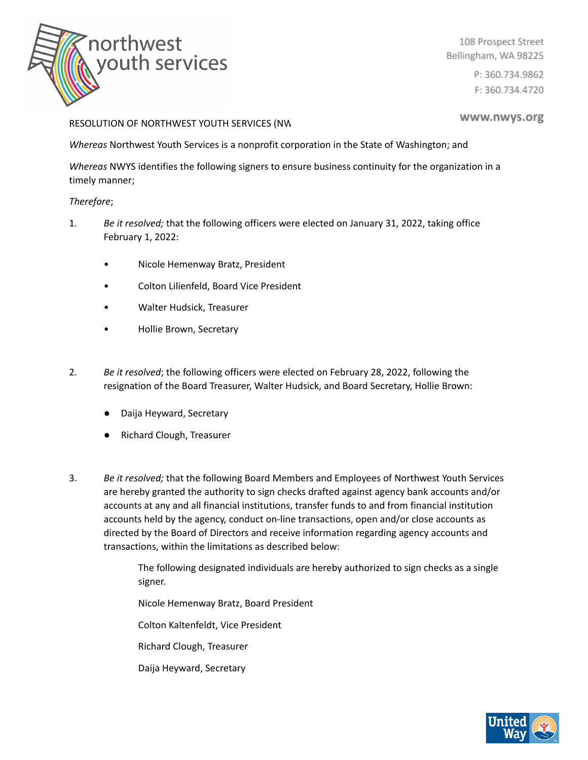

108 Prospect Street Bellingham, WA 98225

> P: 360.734.9862 F: 360.734.4720

## RESOLUTION OF NORTHWEST YOUTH SERVICES (NW

www.nwys.org

*Whereas* Northwest Youth Services is a nonprofit corporation in the State of Washington; and

*Whereas* NWYS identifies the following signers to ensure business continuity for the organization in a timely manner;

## *Therefore*;

- 1. *Be it resolved;* that the following officers were elected on January 31, 2022, taking office February 1, 2022:
	- Nicole Hemenway Bratz, President
	- Colton Lilienfeld, Board Vice President
	- Walter Hudsick, Treasurer
	- Hollie Brown, Secretary
- 2. *Be it resolved*; the following officers were elected on February 28, 2022, following the resignation of the Board Treasurer, Walter Hudsick, and Board Secretary, Hollie Brown:
	- Daija Heyward, Secretary
	- Richard Clough, Treasurer
- 3. *Be it resolved;* that the following Board Members and Employees of Northwest Youth Services are hereby granted the authority to sign checks drafted against agency bank accounts and/or accounts at any and all financial institutions, transfer funds to and from financial institution accounts held by the agency, conduct on-line transactions, open and/or close accounts as directed by the Board of Directors and receive information regarding agency accounts and transactions, within the limitations as described below:

The following designated individuals are hereby authorized to sign checks as a single signer.

Nicole Hemenway Bratz, Board President

Colton Kaltenfeldt, Vice President

Richard Clough, Treasurer

Daija Heyward, Secretary